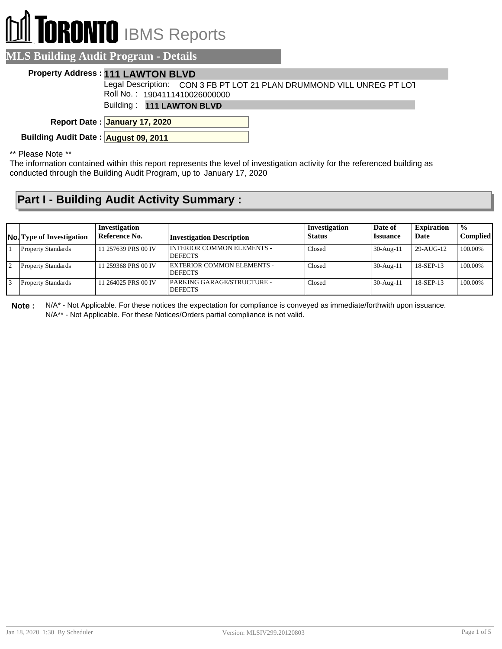# **RONTO** IBMS Reports

### **MLS Building Audit Program - Details**

#### **Property Address : 111 LAWTON BLVD**

Legal Description: CON 3 FB PT LOT 21 PLAN DRUMMOND VILL UNREG PT LOT Roll No. : 1904111410026000000

Building : **111 LAWTON BLVD**

**January 17, 2020 Report Date :**

**Building Audit Date : August 09, 2011**

\*\* Please Note \*\*

The information contained within this report represents the level of investigation activity for the referenced building as conducted through the Building Audit Program, up to January 17, 2020

## **Part I - Building Audit Activity Summary :**

| <b>No.</b> Type of Investigation | Investigation<br>Reference No. | <b>Investigation Description</b>               | Investigation<br><b>Status</b> | Date of<br><b>Issuance</b> | <b>Expiration</b><br>Date | $\frac{0}{0}$<br><b>Complied</b> |
|----------------------------------|--------------------------------|------------------------------------------------|--------------------------------|----------------------------|---------------------------|----------------------------------|
| <b>Property Standards</b>        | 11 257639 PRS 00 IV            | I INTERIOR COMMON ELEMENTS -<br><b>DEFECTS</b> | Closed                         | $30-Aug-11$                | 29-AUG-12                 | 100.00%                          |
| <b>Property Standards</b>        | 11 259368 PRS 00 IV            | EXTERIOR COMMON ELEMENTS -<br><b>DEFECTS</b>   | Closed                         | $30-Aug-11$                | 18-SEP-13                 | 100.00%                          |
| <b>Property Standards</b>        | 11 264025 PRS 00 IV            | PARKING GARAGE/STRUCTURE -<br><b>DEFECTS</b>   | Closed                         | $30-Aug-11$                | 18-SEP-13                 | 100.00%                          |

**Note :** N/A\* - Not Applicable. For these notices the expectation for compliance is conveyed as immediate/forthwith upon issuance. N/A\*\* - Not Applicable. For these Notices/Orders partial compliance is not valid.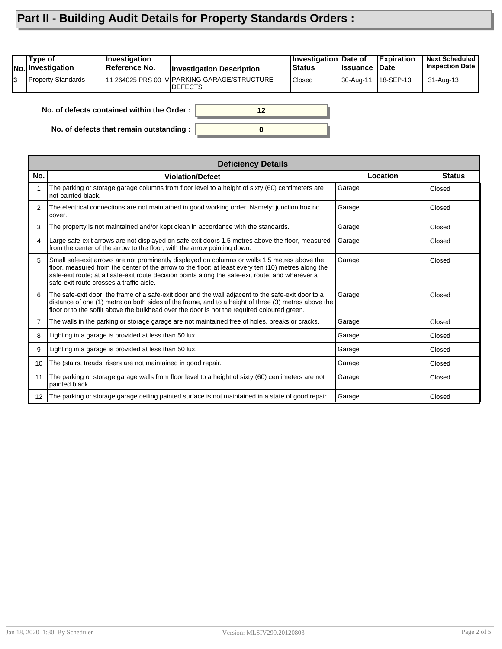# **Part II - Building Audit Details for Property Standards Orders :**

| 111 264025 PRS 00 IV PARKING GARAGE/STRUCTURE -<br><b>Property Standards</b><br>18-SEP-13<br><b>Closed</b><br>13<br>30-Aug-11 | Type of<br><b>No. Investigation</b> | <b>Investigation</b><br>Reference No. | <b>Investigation Description</b> | Investigation Date of<br>⊦Status | ∣Issuance | <b>Expiration</b><br>∣Date | <b>Next Scheduled</b><br><b>Inspection Date</b> |
|-------------------------------------------------------------------------------------------------------------------------------|-------------------------------------|---------------------------------------|----------------------------------|----------------------------------|-----------|----------------------------|-------------------------------------------------|
|                                                                                                                               |                                     |                                       | IDEFECTS                         |                                  |           |                            | 31-Aug-13                                       |

**0**

**12**

**No. of defects contained within the Order :**

**No. of defects that remain outstanding :**

|     | <b>Deficiency Details</b>                                                                                                                                                                                                                                                                                                                             |          |               |  |  |  |  |  |
|-----|-------------------------------------------------------------------------------------------------------------------------------------------------------------------------------------------------------------------------------------------------------------------------------------------------------------------------------------------------------|----------|---------------|--|--|--|--|--|
| No. | <b>Violation/Defect</b>                                                                                                                                                                                                                                                                                                                               | Location | <b>Status</b> |  |  |  |  |  |
| 1   | The parking or storage garage columns from floor level to a height of sixty (60) centimeters are<br>not painted black.                                                                                                                                                                                                                                | Garage   | Closed        |  |  |  |  |  |
| 2   | The electrical connections are not maintained in good working order. Namely; junction box no<br>cover.                                                                                                                                                                                                                                                | Garage   | Closed        |  |  |  |  |  |
| 3   | The property is not maintained and/or kept clean in accordance with the standards.                                                                                                                                                                                                                                                                    | Garage   | Closed        |  |  |  |  |  |
| 4   | Large safe-exit arrows are not displayed on safe-exit doors 1.5 metres above the floor, measured<br>from the center of the arrow to the floor, with the arrow pointing down.                                                                                                                                                                          | Garage   | Closed        |  |  |  |  |  |
| 5   | Small safe-exit arrows are not prominently displayed on columns or walls 1.5 metres above the<br>floor, measured from the center of the arrow to the floor; at least every ten (10) metres along the<br>safe-exit route; at all safe-exit route decision points along the safe-exit route; and wherever a<br>safe-exit route crosses a traffic aisle. | Garage   | Closed        |  |  |  |  |  |
| 6   | The safe-exit door, the frame of a safe-exit door and the wall adjacent to the safe-exit door to a<br>distance of one (1) metre on both sides of the frame, and to a height of three (3) metres above the<br>floor or to the soffit above the bulkhead over the door is not the required coloured green.                                              | Garage   | Closed        |  |  |  |  |  |
| 7   | The walls in the parking or storage garage are not maintained free of holes, breaks or cracks.                                                                                                                                                                                                                                                        | Garage   | Closed        |  |  |  |  |  |
| 8   | Lighting in a garage is provided at less than 50 lux.                                                                                                                                                                                                                                                                                                 | Garage   | Closed        |  |  |  |  |  |
| 9   | Lighting in a garage is provided at less than 50 lux.                                                                                                                                                                                                                                                                                                 | Garage   | Closed        |  |  |  |  |  |
| 10  | The (stairs, treads, risers are not maintained in good repair.                                                                                                                                                                                                                                                                                        | Garage   | Closed        |  |  |  |  |  |
| 11  | The parking or storage garage walls from floor level to a height of sixty (60) centimeters are not<br>painted black.                                                                                                                                                                                                                                  | Garage   | Closed        |  |  |  |  |  |
| 12  | The parking or storage garage ceiling painted surface is not maintained in a state of good repair.                                                                                                                                                                                                                                                    | Garage   | Closed        |  |  |  |  |  |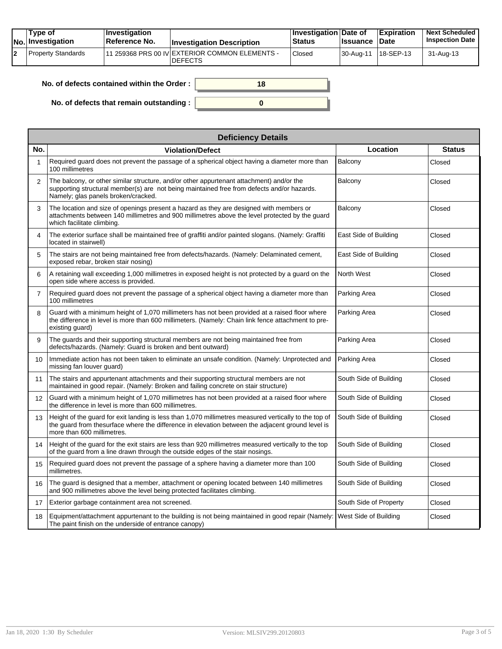|  | Tvpe of<br>No. Investigation | <b>Investigation</b><br><b>∣Reference No.</b> | <b>Investigation Description</b>                                  | <b>Investigation Date of</b><br><b>Status</b> | <b>Issuance Date</b>  | <b>Expiration</b> | <b>Next Scheduled</b><br><b>Inspection Date</b> |
|--|------------------------------|-----------------------------------------------|-------------------------------------------------------------------|-----------------------------------------------|-----------------------|-------------------|-------------------------------------------------|
|  | Property Standards           |                                               | 111 259368 PRS 00 IV EXTERIOR COMMON ELEMENTS -<br><b>DEFECTS</b> | Closed                                        | 30-Aug-11   18-SEP-13 |                   | 31-Aug-13                                       |

| No. of defects contained within the Order: | 18 |
|--------------------------------------------|----|
| No. of defects that remain outstanding:    |    |

|                 | <b>Deficiency Details</b>                                                                                                                                                                                                               |                        |               |  |  |  |  |  |  |
|-----------------|-----------------------------------------------------------------------------------------------------------------------------------------------------------------------------------------------------------------------------------------|------------------------|---------------|--|--|--|--|--|--|
| No.             | <b>Violation/Defect</b>                                                                                                                                                                                                                 | Location               | <b>Status</b> |  |  |  |  |  |  |
| 1               | Required guard does not prevent the passage of a spherical object having a diameter more than<br>100 millimetres                                                                                                                        | Balcony                | Closed        |  |  |  |  |  |  |
| 2               | The balcony, or other similar structure, and/or other appurtenant attachment) and/or the<br>supporting structural member(s) are not being maintained free from defects and/or hazards.<br>Namely; glas panels broken/cracked.           | Balcony                | Closed        |  |  |  |  |  |  |
| 3               | The location and size of openings present a hazard as they are designed with members or<br>attachments between 140 millimetres and 900 millimetres above the level protected by the guard<br>which facilitate climbing.                 | Balcony                | Closed        |  |  |  |  |  |  |
| 4               | The exterior surface shall be maintained free of graffiti and/or painted slogans. (Namely: Graffiti<br>located in stairwell)                                                                                                            | East Side of Building  | Closed        |  |  |  |  |  |  |
| 5               | The stairs are not being maintained free from defects/hazards. (Namely: Delaminated cement,<br>exposed rebar, broken stair nosing)                                                                                                      | East Side of Building  | Closed        |  |  |  |  |  |  |
| 6               | A retaining wall exceeding 1,000 millimetres in exposed height is not protected by a guard on the<br>open side where access is provided.                                                                                                | North West             | Closed        |  |  |  |  |  |  |
| $\overline{7}$  | Required guard does not prevent the passage of a spherical object having a diameter more than<br>100 millimetres                                                                                                                        | Parking Area           | Closed        |  |  |  |  |  |  |
| 8               | Guard with a minimum height of 1,070 millimeters has not been provided at a raised floor where<br>the difference in level is more than 600 millimeters. (Namely: Chain link fence attachment to pre-<br>existing guard)                 | Parking Area           | Closed        |  |  |  |  |  |  |
| 9               | The guards and their supporting structural members are not being maintained free from<br>defects/hazards. (Namely: Guard is broken and bent outward)                                                                                    | Parking Area           | Closed        |  |  |  |  |  |  |
| 10 <sup>1</sup> | Immediate action has not been taken to eliminate an unsafe condition. (Namely: Unprotected and<br>missing fan louver guard)                                                                                                             | Parking Area           | Closed        |  |  |  |  |  |  |
| 11              | The stairs and appurtenant attachments and their supporting structural members are not<br>maintained in good repair. (Namely: Broken and failing concrete on stair structure)                                                           | South Side of Building | Closed        |  |  |  |  |  |  |
| 12              | Guard with a minimum height of 1,070 millimetres has not been provided at a raised floor where<br>the difference in level is more than 600 millimetres.                                                                                 | South Side of Building | Closed        |  |  |  |  |  |  |
| 13              | Height of the guard for exit landing is less than 1,070 millimetres measured vertically to the top of<br>the guard from thesurface where the difference in elevation between the adjacent ground level is<br>more than 600 millimetres. | South Side of Building | Closed        |  |  |  |  |  |  |
| 14              | Height of the guard for the exit stairs are less than 920 millimetres measured vertically to the top<br>of the guard from a line drawn through the outside edges of the stair nosings.                                                  | South Side of Building | Closed        |  |  |  |  |  |  |
| 15              | Required guard does not prevent the passage of a sphere having a diameter more than 100<br>millimetres.                                                                                                                                 | South Side of Building | Closed        |  |  |  |  |  |  |
| 16              | The guard is designed that a member, attachment or opening located between 140 millimetres<br>and 900 millimetres above the level being protected facilitates climbing.                                                                 | South Side of Building | Closed        |  |  |  |  |  |  |
| 17              | Exterior garbage containment area not screened.                                                                                                                                                                                         | South Side of Property | Closed        |  |  |  |  |  |  |
| 18              | Equipment/attachment appurtenant to the building is not being maintained in good repair (Namely:<br>The paint finish on the underside of entrance canopy)                                                                               | West Side of Building  | Closed        |  |  |  |  |  |  |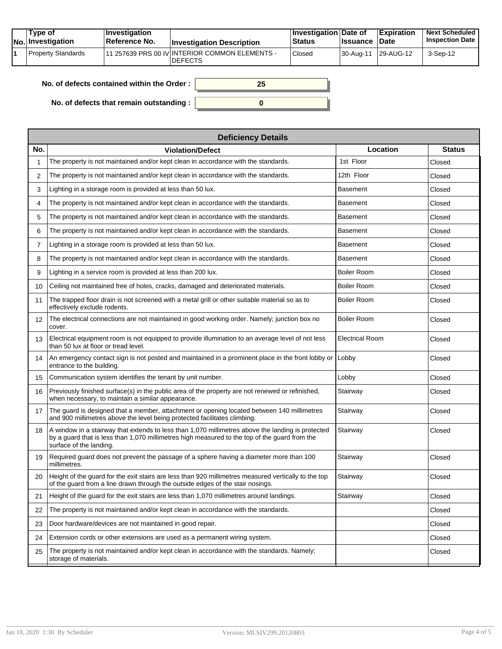| Tvpe of<br>No. Investigation | $\blacksquare$ Investigation<br>Reference No. | <b>Investigation Description</b>                                 | <b>∐nvestigation Date of</b><br><b>Status</b> | <b>Issuance</b> | <b>Expiration</b><br><b>Date</b> | <b>Next Scheduled</b><br><b>Inspection Date</b> |
|------------------------------|-----------------------------------------------|------------------------------------------------------------------|-----------------------------------------------|-----------------|----------------------------------|-------------------------------------------------|
| Property Standards           |                                               | 11 257639 PRS 00 IV INTERIOR COMMON ELEMENTS -<br><b>DEFECTS</b> | Closed                                        | 30-Aug-11       | 29-AUG-12                        | 3-Sep-12                                        |

| No. of defects contained within the Order: | 25 |
|--------------------------------------------|----|
|                                            |    |
| No. of defects that remain outstanding:    |    |

**No. of defects that remain outstanding :**

|                   | <b>Deficiency Details</b>                                                                                                                                                                                                     |                    |               |  |  |  |  |  |
|-------------------|-------------------------------------------------------------------------------------------------------------------------------------------------------------------------------------------------------------------------------|--------------------|---------------|--|--|--|--|--|
| No.               | <b>Violation/Defect</b>                                                                                                                                                                                                       | Location           | <b>Status</b> |  |  |  |  |  |
| 1                 | The property is not maintained and/or kept clean in accordance with the standards.                                                                                                                                            | 1st Floor          | Closed        |  |  |  |  |  |
| 2                 | The property is not maintained and/or kept clean in accordance with the standards.                                                                                                                                            | 12th Floor         | Closed        |  |  |  |  |  |
| 3                 | Lighting in a storage room is provided at less than 50 lux.                                                                                                                                                                   | <b>Basement</b>    | Closed        |  |  |  |  |  |
| 4                 | The property is not maintained and/or kept clean in accordance with the standards.                                                                                                                                            | <b>Basement</b>    | Closed        |  |  |  |  |  |
| 5                 | The property is not maintained and/or kept clean in accordance with the standards.                                                                                                                                            | Basement           | Closed        |  |  |  |  |  |
| 6                 | The property is not maintained and/or kept clean in accordance with the standards.                                                                                                                                            | Basement           | Closed        |  |  |  |  |  |
| $\overline{7}$    | Lighting in a storage room is provided at less than 50 lux.                                                                                                                                                                   | <b>Basement</b>    | Closed        |  |  |  |  |  |
| 8                 | The property is not maintained and/or kept clean in accordance with the standards.                                                                                                                                            | <b>Basement</b>    | Closed        |  |  |  |  |  |
| 9                 | Lighting in a service room is provided at less than 200 lux.                                                                                                                                                                  | <b>Boiler Room</b> | Closed        |  |  |  |  |  |
| 10                | Ceiling not maintained free of holes, cracks, damaged and deteriorated materials.                                                                                                                                             | <b>Boiler Room</b> | Closed        |  |  |  |  |  |
| 11                | The trapped floor drain is not screened with a metal grill or other suitable material so as to<br>effectively exclude rodents.                                                                                                | <b>Boiler Room</b> | Closed        |  |  |  |  |  |
| $12 \overline{ }$ | The electrical connections are not maintained in good working order. Namely; junction box no<br>cover.                                                                                                                        | Boiler Room        | Closed        |  |  |  |  |  |
| 13                | Electrical equipment room is not equipped to provide illumination to an average level of not less<br>than 50 lux at floor or tread level.                                                                                     | Electrical Room    | Closed        |  |  |  |  |  |
| 14                | An emergency contact sign is not posted and maintained in a prominent place in the front lobby or<br>entrance to the building.                                                                                                | Lobby              | Closed        |  |  |  |  |  |
| 15                | Communication system identifies the tenant by unit number.                                                                                                                                                                    | Lobby              | Closed        |  |  |  |  |  |
| 16                | Previously finished surface(s) in the public area of the property are not renewed or refinished,<br>when necessary, to maintain a similar appearance.                                                                         | Stairway           | Closed        |  |  |  |  |  |
| 17                | The guard is designed that a member, attachment or opening located between 140 millimetres<br>and 900 millimetres above the level being protected facilitates climbing.                                                       | Stairway           | Closed        |  |  |  |  |  |
| 18                | A window in a stairway that extends to less than 1,070 millimetres above the landing is protected<br>by a guard that is less than 1,070 millimetres high measured to the top of the guard from the<br>surface of the landing. | Stairway           | Closed        |  |  |  |  |  |
| 19                | Required guard does not prevent the passage of a sphere having a diameter more than 100<br>millimetres.                                                                                                                       | Stairway           | Closed        |  |  |  |  |  |
| 20                | Height of the guard for the exit stairs are less than 920 millimetres measured vertically to the top<br>of the guard from a line drawn through the outside edges of the stair nosings.                                        | Stairway           | Closed        |  |  |  |  |  |
| 21                | Height of the guard for the exit stairs are less than 1,070 millimetres around landings.                                                                                                                                      | Stairway           | Closed        |  |  |  |  |  |
| 22                | The property is not maintained and/or kept clean in accordance with the standards.                                                                                                                                            |                    | Closed        |  |  |  |  |  |
| 23                | Door hardware/devices are not maintained in good repair.                                                                                                                                                                      |                    | Closed        |  |  |  |  |  |
| 24                | Extension cords or other extensions are used as a permanent wiring system.                                                                                                                                                    |                    | Closed        |  |  |  |  |  |
| 25                | The property is not maintained and/or kept clean in accordance with the standards. Namely;<br>storage of materials.                                                                                                           |                    | Closed        |  |  |  |  |  |